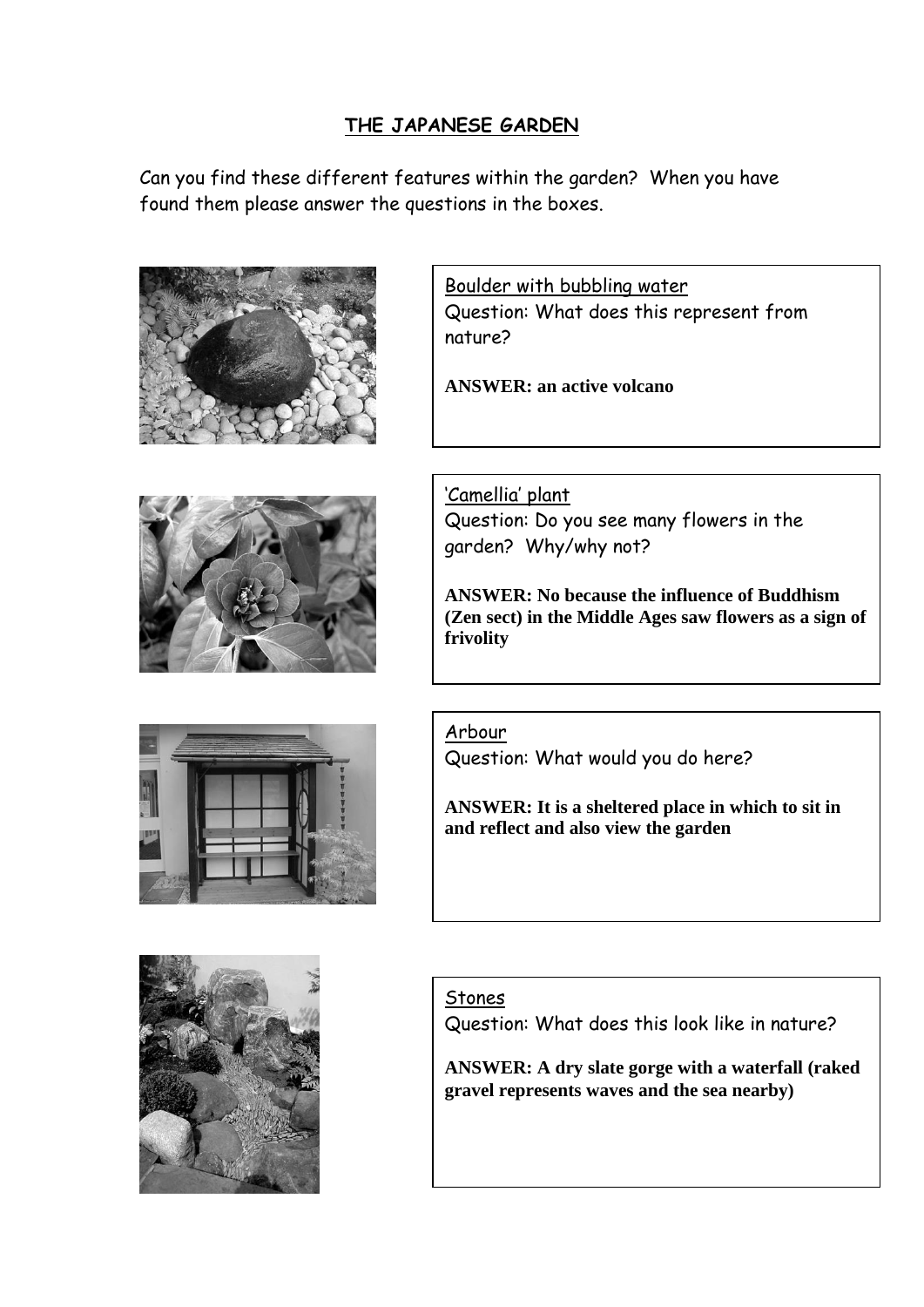## **THE JAPANESE GARDEN**

Can you find these different features within the garden? When you have found them please answer the questions in the boxes.









Boulder with bubbling water Question: What does this represent from nature?

**ANSWER: an active volcano**

'Camellia' plant Question: Do you see many flowers in the garden? Why/why not?

**ANSWER: No because the influence of Buddhism (Zen sect) in the Middle Ages saw flowers as a sign of frivolity**

Arbour

Question: What would you do here?

**ANSWER: It is a sheltered place in which to sit in and reflect and also view the garden**

## Stones

Question: What does this look like in nature?

**ANSWER: A dry slate gorge with a waterfall (raked gravel represents waves and the sea nearby)**